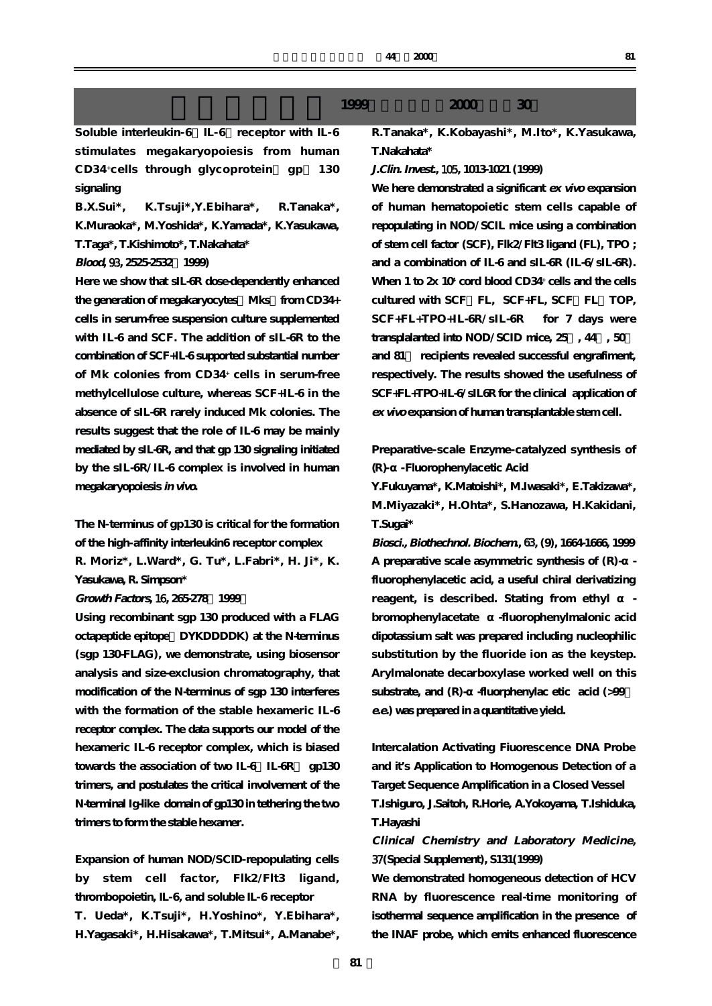Soluble interleukin-6 IL-6 receptor with IL-6 **stimulates megakaryopoiesis from human CD34 +cells through glycoprotein( gp) 130 signaling**

**B.X.Sui\*, K.Tsuji\*,Y.Ebihara\*, R.Tanaka\*, K.Muraoka\*, M.Yoshida\*, K.Yamada\*, K.Yasukawa, T.Taga\*, T.Kishimoto\*, T.Nakahata\***

# **Blood,** 93**, 2525-2532(1999)**

**Here we show that sIL-6R dose-dependently enhanced** the generation of megakaryocytes Mks from CD34+ **cells in serum-free suspension culture supplemented with IL-6 and SCF. The addition of sIL-6R to the combination of SCF+IL-6 supported substantial number of Mk colonies from CD34+ cells in serum-free methylcellulose culture, whereas SCF+IL-6 in the absence of sIL-6R rarely induced Mk colonies. The results suggest that the role of IL-6 may be mainly mediated by sIL-6R, and that gp 130 signaling initiated by the sIL-6R/IL-6 complex is involved in human megakaryopoiesis in vivo.**

**The N-terminus of gp130 is critical for the formation of the high-affinity interleukin6 receptor complex R. Moriz\*, L.Ward\*, G. Tu\*, L.Fabri\*, H. Ji\*, K.**

# **Growth Factors,** 16**, 265-278(1999)**

**Yasukawa, R. Simpson\***

**Using recombinant sgp 130 produced with a FLAG octapeptide epitope(DYKDDDDK) at the N-terminus (sgp 130-FLAG), we demonstrate, using biosensor analysis and size-exclusion chromatography, that modification of the N-terminus of sgp 130 interferes with the formation of the stable hexameric IL-6 receptor complex. The data supports our model of the hexameric IL-6 receptor complex, which is biased** towards the association of two IL-6 IL-6R gp130 **trimers, and postulates the critical involvement of the N-terminal Ig-like domain of gp130 in tethering the two trimers to form the stable hexamer.**

**Expansion of human NOD/SCID-repopulating cells by stem cell factor, Flk2/Flt3 ligand, thrombopoietin, IL-6, and soluble IL-6 receptor T. Ueda\*, K.Tsuji\*, H.Yoshino\*, Y.Ebihara\*, H.Yagasaki\*, H.Hisakawa\*, T.Mitsui\*, A.Manabe\*,**

# **1999年4月1日~1999年4月1日~1999年4月1日~2000年4月1日~2000年4月1日~2000年4月30日~1日~2000年4月30日~1日~1日**

**R.Tanaka\*, K.Kobayashi\*, M.Ito\*, K.Yasukawa, T.Nakahata\***

# **J.Clin. Invest.,** 105**, 1013-1021 (1999)**

**We here demonstrated a significant ex vivo expansion of human hematopoietic stem cells capable of repopulating in NOD/SCIL mice using a combination of stem cell factor (SCF), Flk2/Flt3 ligand (FL), TPO ; and a combination of IL-6 and sIL-6R (IL-6/sIL-6R).** When 1 to  $2x 10^x$  cord blood CD34<sup>+</sup> cells and the cells cultured with SCF FL, SCF+FL, SCF FL TOP, **SCF+FL+TPO+IL-6R/sIL-6R for 7 days were** transplalanted into NOD/SCID mice,  $25$ ,  $44$ ,  $50$ **and 81% recipients revealed successful engrafiment, respectively. The results showed the usefulness of SCF+FL+TPO+IL-6/sIL6R for the clinical application of ex vivo expansion of human transplantable stem cell.**

**Preparative-scale Enzyme-catalyzed synthesis of (R)-α-Fluorophenylacetic Acid**

**Y.Fukuyama\*, K.Matoishi\*, M.Iwasaki\*, E.Takizawa\*, M.Miyazaki\*, H.Ohta\*, S.Hanozawa, H.Kakidani, T.Sugai\***

**Biosci., Biothechnol. Biochem.,** 63**, (9), 1664-1666, 1999** A preparative scale asymmetric synthesis of  $(R)$ **fluorophenylacetic acid, a useful chiral derivatizing** reagent, is described. Stating from ethyl **bromophenylacetate α-fluorophenylmalonic acid dipotassium salt was prepared including nucleophilic substitution by the fluoride ion as the keystep. Arylmalonate decarboxylase worked well on this** substrate, and (R)- -fluorphenylac etic acid (>99 **e.e.) was prepared in a quantitative yield.**

**Intercalation Activating Fiuorescence DNA Probe and it's Application to Homogenous Detection of a Target Sequence Amplification in a Closed Vessel T.Ishiguro, J.Saitoh, R.Horie, A.Yokoyama, T.Ishiduka, T.Hayashi**

# **Clinical Chemistry and Laboratory Medicine,** 37**(Special Supplement), S131(1999)**

**We demonstrated homogeneous detection of HCV RNA by fluorescence real-time monitoring of isothermal sequence amplification in the presence of the INAF probe, which emits enhanced fluorescence**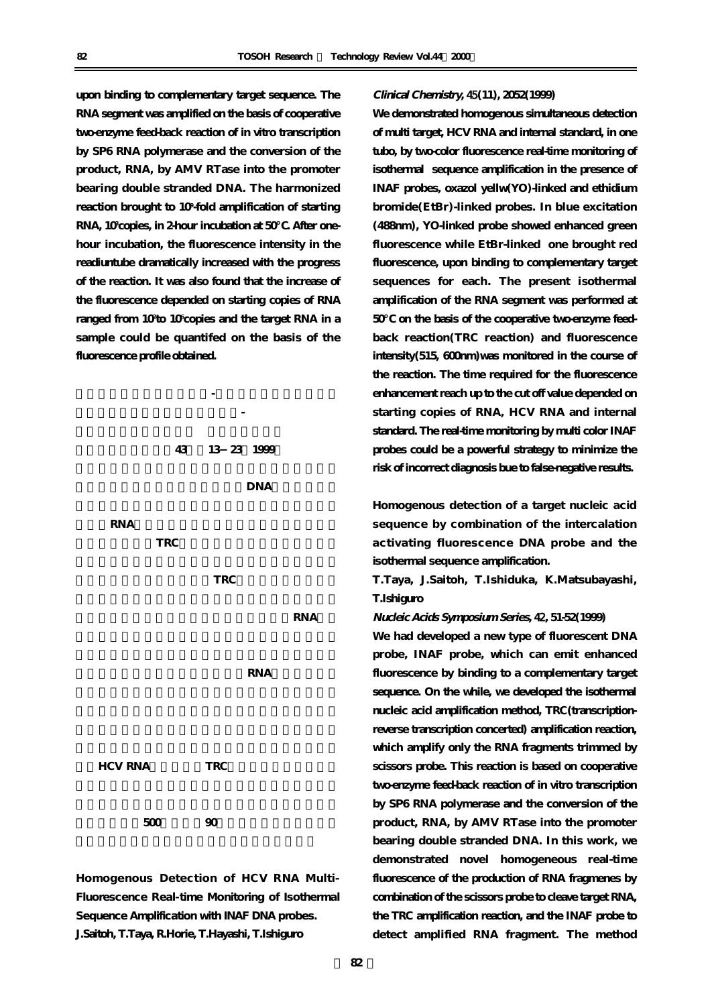**upon binding to complementary target sequence. The RNA segment was amplified on the basis of cooperative two-enzyme feed-back reaction of in vitro transcription by SP6 RNA polymerase and the conversion of the product, RNA, by AMV RTase into the promoter bearing double stranded DNA. The harmonized reaction brought to 109 -fold amplification of starting** RNA, 10<sup>3</sup> copies, in 2-hour incubation at 50  $\,$  . After one**hour incubation, the fluorescence intensity in the readiuntube dramatically increased with the progress of the reaction. It was also found that the increase of the fluorescence depended on starting copies of RNA ranged from 102 to 106 copies and the target RNA in a sample could be quantifed on the basis of the fluorescence profile obtained.**



**Homogenous Detection of HCV RNA Multi-Fluorescence Real-time Monitoring of Isothermal Sequence Amplification with INAF DNA probes. J.Saitoh, T.Taya, R.Horie, T.Hayashi, T.Ishiguro**

### **Clinical Chemistry,** 45**(11), 2052(1999)**

**We demonstrated homogenous simultaneous detection of multi target, HCV RNA and internal standard, in one tubo, by two-color fluorescence real-time monitoring of isothermal sequence amplification in the presence of INAF probes, oxazol yellw(YO)-linked and ethidium bromide(EtBr)-linked probes. In blue excitation (488nm), YO-linked probe showed enhanced green fluorescence while EtBr-linked one brought red fluorescence, upon binding to complementary target sequences for each. The present isothermal amplification of the RNA segment was performed at** 50 on the basis of the cooperative two-enzyme feed**back reaction(TRC reaction) and fluorescence intensity(515, 600nm)was monitored in the course of the reaction. The time required for the fluorescence enhancement reach up to the cut off value depended on starting copies of RNA, HCV RNA and internal standard. The real-time monitoring by multi color INAF probes could be a powerful strategy to minimize the risk of incorrect diagnosis bue to false-negative results.**

**Homogenous detection of a target nucleic acid sequence by combination of the intercalation activating fluorescence DNA probe and the isothermal sequence amplification.**

**T.Taya, J.Saitoh, T.Ishiduka, K.Matsubayashi, T.Ishiguro**

**Nucleic Acids Symposium Series,** 42**, 51-52(1999)**

**We had developed a new type of fluorescent DNA probe, INAF probe, which can emit enhanced fluorescence by binding to a complementary target sequence. On the while, we developed the isothermal nucleic acid amplification method, TRC(transcriptionreverse transcription concerted) amplification reaction, which amplify only the RNA fragments trimmed by scissors probe. This reaction is based on cooperative two-enzyme feed-back reaction of in vitro transcription by SP6 RNA polymerase and the conversion of the product, RNA, by AMV RTase into the promoter bearing double stranded DNA. In this work, we demonstrated novel homogeneous real-time fluorescence of the production of RNA fragmenes by combination of the scissors probe to cleave target RNA, the TRC amplification reaction, and the INAF probe to detect amplified RNA fragment. The method**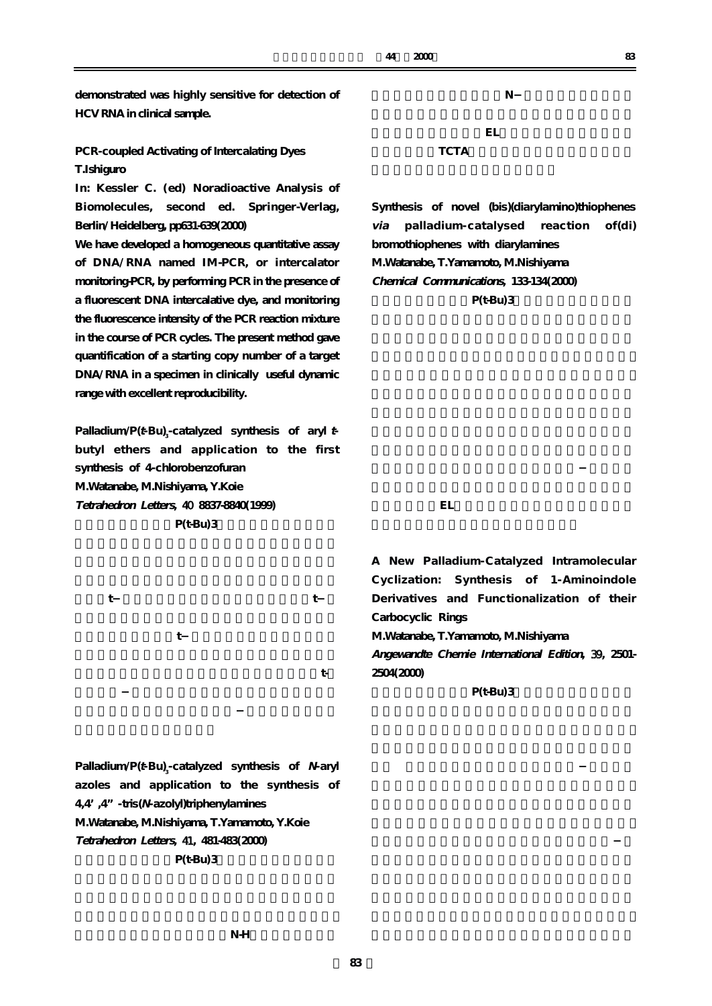**demonstrated was highly sensitive for detection of HCV RNA in clinical sample.**

**PCR-coupled Activating of Intercalating Dyes T.Ishiguro**

**In: Kessler C. (ed) Noradioactive Analysis of Biomolecules, second ed. Springer-Verlag, Berlin/Heidelberg, pp631-639(2000)**

**We have developed a homogeneous quantitative assay of DNA/RNA named IM-PCR, or intercalator monitoring-PCR, by performing PCR in the presence of a fluorescent DNA intercalative dye, and monitoring the fluorescence intensity of the PCR reaction mixture in the course of PCR cycles. The present method gave quantification of a starting copy number of a target DNA/RNA in a specimen in clinically useful dynamic range with excellent reproducibility.**

Palladium/P(*t*-Bu)<sub>3</sub>-catalyzed synthesis of aryl*t***butyl ethers and application to the first synthesis of 4-chlorobenzofuran M.Watanabe, M.Nishiyama, Y.Koie Tetrahedron Letters,** 40 **8837-8840(1999) P(t-Bu)3** 

**イドとt-ブトキシナトリウムとから、アリールt-ブ** t<sub>-</sub> て<sub>に</sub>は「このt-ブール類の製法」ということがある。<br>ブラックスのお子ども、このt-ブラックスのお子ども、このt-ブラックスの製法として有限である。このt-ブラックスの基本として有限である。このt-ブラックスのは、 **類とアリールハライドからN-アリールアゾールを合**

# **ヒレ** エイクスプレイの素子  $\overline{\text{TCTA}}$

**Synthesis of novel (bis)(diarylamino)thiophenes via palladium-catalysed reaction of(di) bromothiophenes with diarylamines M.Watanabe, T.Yamamoto, M.Nishiyama Chemical Communications, 133-134(2000) P(t-Bu)3** 

**であり、有機ELディスプレイ等における発光及び電**

**A New Palladium-Catalyzed Intramolecular Cyclization: Synthesis of 1-Aminoindole Derivatives and Functionalization of their Carbocyclic Rings M.Watanabe, T.Yamamoto, M.Nishiyama Angewandte Chemie International Edition,** 39**, 2501- 2504(2000)**

**P(t-Bu)3** 

**Palladium/P(***t***-Bu)**<sub>3</sub>-catalyzed synthesis of *N*-aryl **azoles and application to the synthesis of 4,4',4"-tris(N-azolyl)triphenylamines M.Watanabe, M.Nishiyama, T.Yamamoto, Y.Koie Tetrahedron Letters,** 41**, 481-483(2000) P(t-Bu)3**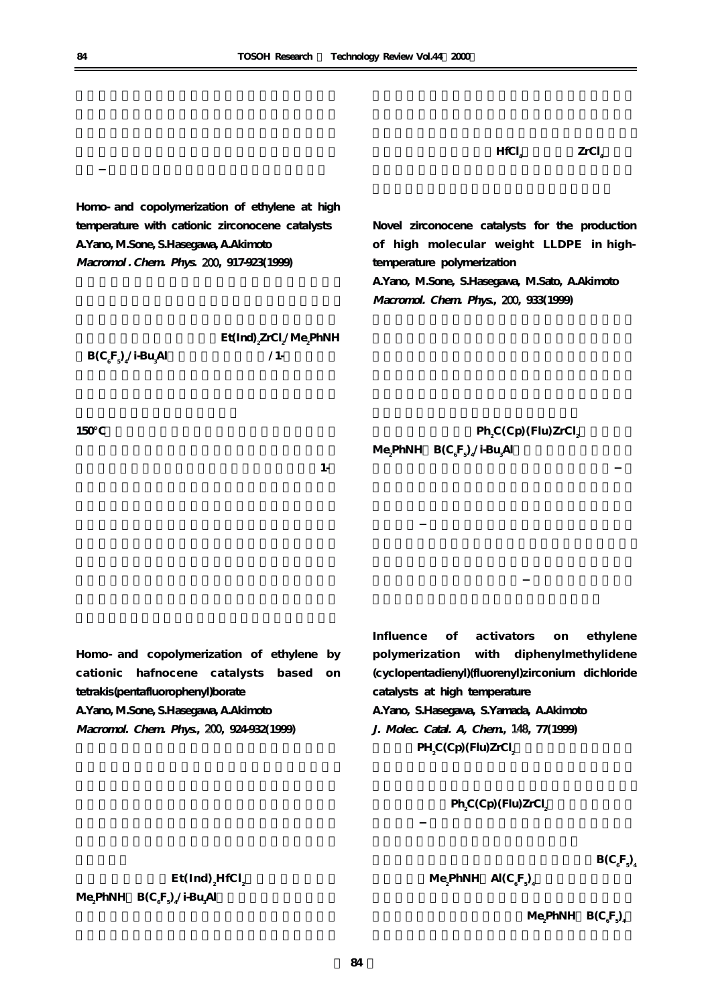$\mathbf{Et}(\mathbf{Ind})$   $_{\mathbf{z}}\mathbf{HfCl}_{\mathbf{z}}$ 

 $\mathbf{Me}_2$ **PhNH**  $\mathbf{Al}(C_gF_g)$ 

には、それに<sub>る</sub>が、<br>トレンスの熱安定性に依存している。<br>トレンスの熱安定性に依存している。  $\text{PhNH} \quad \text{B(C}_\text{e}^\text{F}{}_\text{s}$ 

**ならびにメチルアル**

HfCl<sub>2</sub> ZrCl<sub>4</sub>

**による**<br>レースト

**Homo- and copolymerization of ethylene at high temperature with cationic zirconocene catalysts A.Yano, M.Sone, S.Hasegawa, A.Akimoto Macromol . Chem. Phys.** 200**, 917-923(1999)**

 $\mathbf{Et}(\mathbf{Ind})\text{ }_{2}\mathbf{Zr}\mathbf{Cl}_{2}\text{/}\mathbf{Me}_{2}\mathbf{PhNH}$ 

150

**Alを触媒としエチレン/1-ヘキサン共**

**Novel zirconocene catalysts for the production of high molecular weight LLDPE in hightemperature polymerization A.Yano, M.Sone, S.Hasegawa, M.Sato, A.Akimoto Macromol. Chem. Phys.,** 200**, 933(1999)**

 $\text{Ph}_2\text{C}(\text{Cp})$  (Flu)ZrCl<sub>2</sub>  $Me_{_2}$ PhNH  $Be_{_6}$ F<sub>5</sub>)<sub>4</sub>/i-Bu<sub>3</sub> **Al用いる事により、高温重**

**いビニリデン末端の生成が確認された。これは、1-ヘ**

**Homo- and copolymerization of ethylene by cationic hafnocene catalysts based on tetrakis(pentafluorophenyl)borate A.Yano, M.Sone, S.Hasegawa, A.Akimoto Macromol. Chem. Phys.,** 200**, 924-932(1999)**

**Influence of activators on ethylene polymerization with diphenylmethylidene (cyclopentadienyl)(fluorenyl)zirconium dichloride catalysts at high temperature A.Yano, S.Hasegawa, S.Yamada, A.Akimoto J. Molec. Catal. A, Chem.,** 148**, 77(1999)**

 $PH_2C(Cp)$  (Flu)ZrCl<sub>2</sub>

 $\mathsf{Ph}_{2}\mathsf{C}\left(\mathsf{Cp}\right)$  (Flu) ZrCl<sub>2</sub> **と組み合わせエチ**

 $\mathbf{B}(\mathbf{C}_{\epsilon})$  $\mathrm{F_{3^{\prime}}}$ 

**( 84 )**

**ということになる** 

**Alを用いた触媒系が、共重**

 $\text{B(C}_6\text{F}_5\text{A}^\prime\text{i-Bu}_5$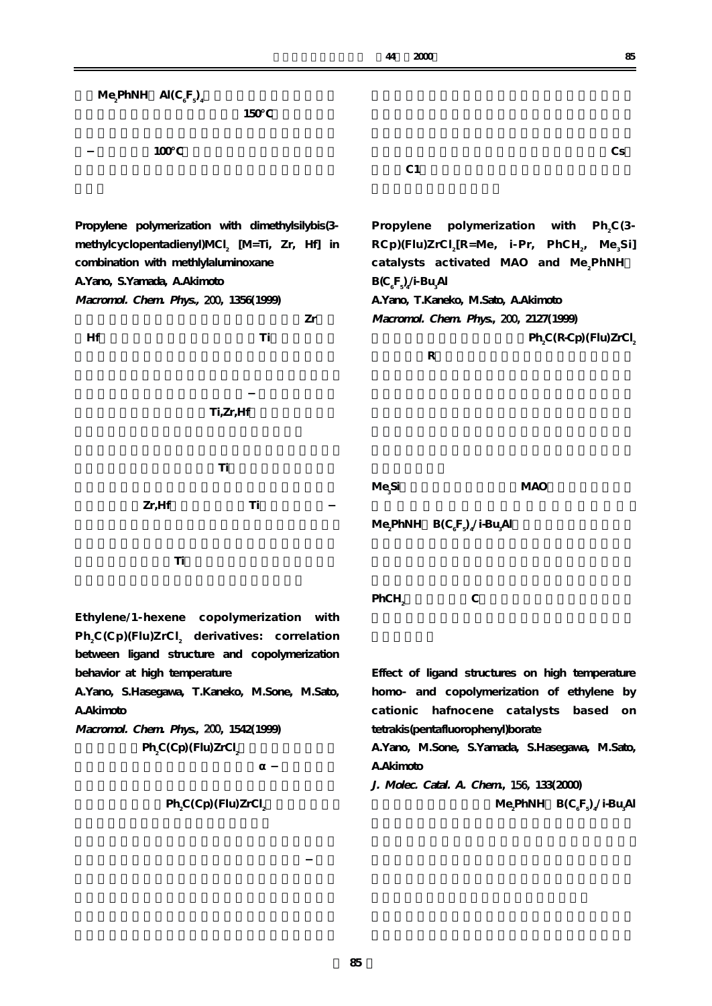| Me <sub>2</sub> PhNH Al(C <sub>e</sub> F <sub>2</sub> ) <sub>4</sub> |                                                                                    |
|----------------------------------------------------------------------|------------------------------------------------------------------------------------|
| 150                                                                  |                                                                                    |
|                                                                      |                                                                                    |
| 100                                                                  | $\mathbf{C}\mathbf{s}$                                                             |
|                                                                      | C <sub>1</sub>                                                                     |
|                                                                      |                                                                                    |
| Propylene polymerization with dimethylsilybis(3-                     | polymerization with<br>Propylene<br>$Ph, C(3-$                                     |
| methylcyclopentadienyl)MCI <sub>2</sub> [M=Ti, Zr, Hf] in            | $RCD$ )(Flu)ZrCl <sub>2</sub> [R=Me, i-Pr, PhCH <sub>2</sub> , Me <sub>3</sub> Si] |
| combination with methlylaluminoxane                                  | catalysts activated MAO and Me <sub>2</sub> PhNH                                   |
| A. Yano, S. Yamada, A. Akimoto                                       | $B(C6F5)$ <sub>4</sub> /i-Bu <sub>3</sub> Al                                       |
| Macromol. Chem. Phys., 200, 1356(1999)                               | A.Yano, T.Kaneko, M.Sato, A.Akimoto                                                |
| Zr                                                                   | Macromol. Chem. Phys., 200, 2127(1999)                                             |
| Hf<br>Ti                                                             | Ph <sub>2</sub> C(R-Cp)(Flu)ZrCl <sub>2</sub>                                      |
|                                                                      | ${\bf R}$                                                                          |
|                                                                      |                                                                                    |
|                                                                      |                                                                                    |
| Ti, Zr, Hf                                                           |                                                                                    |
|                                                                      |                                                                                    |
| Ti                                                                   |                                                                                    |
|                                                                      | <b>MAO</b>                                                                         |
| Zr, Hf<br>Ti                                                         | Me <sub>si</sub> Si                                                                |
|                                                                      | Me <sub>2</sub> PhNH $B(C6F2)$ <sub>4</sub> /i-Bu <sub>4</sub> Al                  |
|                                                                      |                                                                                    |
| Ti                                                                   |                                                                                    |
|                                                                      |                                                                                    |
|                                                                      | $\mathbf C$<br>PhCH <sub>2</sub>                                                   |
| Ethylene/1-hexene copolymerization with                              |                                                                                    |
| Ph <sub>2</sub> C(Cp)(Flu)ZrCl <sub>2</sub> derivatives: correlation |                                                                                    |
| between ligand structure and copolymerization                        |                                                                                    |
| behavior at high temperature                                         | Effect of ligand structures on high temperature                                    |
| A.Yano, S.Hasegawa, T.Kaneko, M.Sone, M.Sato,                        | homo- and copolymerization of ethylene by                                          |
| A. Akimoto                                                           | cationic hafnocene catalysts based<br>on                                           |
| Macromol. Chem. Phys., 200, 1542(1999)                               | tetrakis(pentafluorophenyl)borate                                                  |
| $PhsC(Cp)$ (Flu) $ZrCls$                                             | A.Yano, M.Sone, S.Yamada, S.Hasegawa, M.Sato,                                      |
|                                                                      | A. Akimoto                                                                         |
|                                                                      | J. Molec. Catal. A. Chem. 156, 133(2000)                                           |
| $PhsC(Cp)$ (Flu) $ZrCls$                                             | Me <sub>2</sub> PhNH $B(C_6F_7)'$ <i>i</i> -Bu <sub>3</sub> Al                     |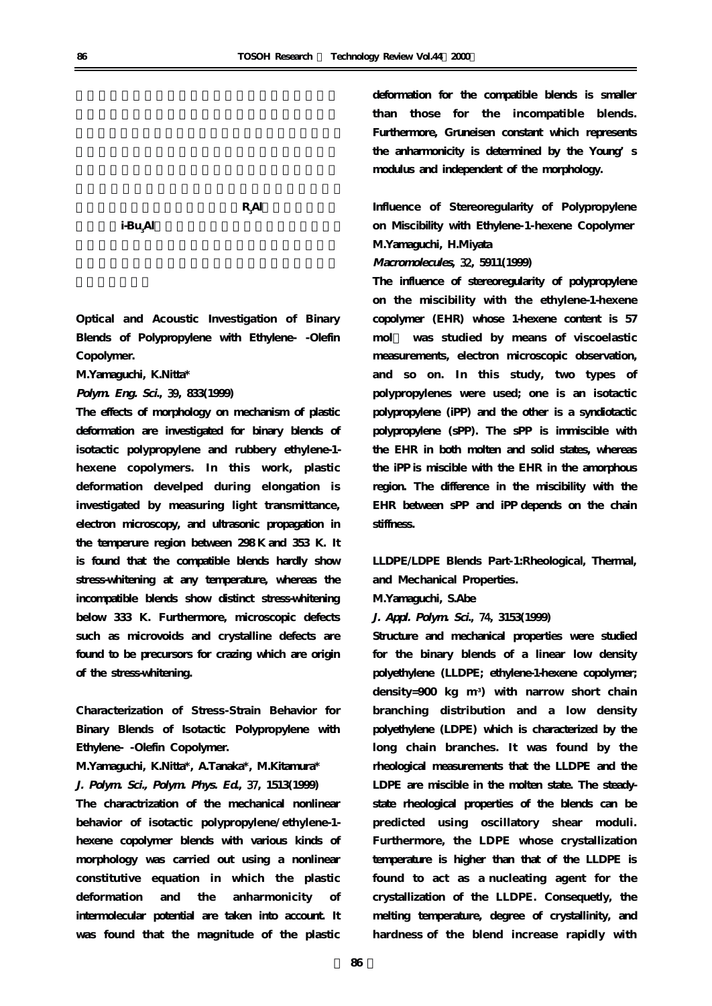i-Bu<sub>Al</sub> **Alを選択した場合に高い活性を示した。**

**the substitution is set of**  $\mathbf{R}_{\rm s}$ 

**Optical and Acoustic Investigation of Binary Blends of Polypropylene with Ethylene- -Olefin Copolymer.**

**Al)の選択が重要**

**M.Yamaguchi, K.Nitta\***

**Polym. Eng. Sci.,** 39**, 833(1999)**

**The effects of morphology on mechanism of plastic deformation are investigated for binary blends of isotactic polypropylene and rubbery ethylene-1 hexene copolymers. In this work, plastic deformation develped during elongation is investigated by measuring light transmittance, electron microscopy, and ultrasonic propagation in the temperure region between 298 K and 353 K. It is found that the compatible blends hardly show stress-whitening at any temperature, whereas the incompatible blends show distinct stress-whitening below 333 K. Furthermore, microscopic defects such as microvoids and crystalline defects are found to be precursors for crazing which are origin of the stress-whitening.**

**Characterization of Stress-Strain Behavior for Binary Blends of Isotactic Polypropylene with Ethylene- -Olefin Copolymer.**

**M.Yamaguchi, K.Nitta\*, A.Tanaka\*, M.Kitamura\* J. Polym. Sci., Polym. Phys. Ed.,** 37**, 1513(1999) The charactrization of the mechanical nonlinear behavior of isotactic polypropylene/ethylene-1 hexene copolymer blends with various kinds of morphology was carried out using a nonlinear constitutive equation in which the plastic deformation and the anharmonicity of intermolecular potential are taken into account. It was found that the magnitude of the plastic**

**deformation for the compatible blends is smaller than those for the incompatible blends. Furthermore, Gruneisen constant which represents the anharmonicity is determined by the Young's modulus and independent of the morphology.**

**Influence of Stereoregularity of Polypropylene on Miscibility with Ethylene-1-hexene Copolymer M.Yamaguchi, H.Miyata**

**Macromolecules,** 32**, 5911(1999)**

**The influence of stereoregularity of polypropylene on the miscibility with the ethylene-1-hexene copolymer (EHR) whose 1-hexene content is 57 mol% was studied by means of viscoelastic measurements, electron microscopic observation, and so on. In this study, two types of polypropylenes were used; one is an isotactic polypropylene (iPP) and the other is a syndiotactic polypropylene (sPP). The sPP is immiscible with the EHR in both molten and solid states, whereas the iPP is miscible with the EHR in the amorphous region. The difference in the miscibility with the EHR between sPP and iPP depends on the chain stiffness.**

**LLDPE/LDPE Blends Part-1:Rheological, Thermal, and Mechanical Properties.** 

**M.Yamaguchi, S.Abe**

**J. Appl. Polym. Sci.,** 74**, 3153(1999)**

**Structure and mechanical properties were studied for the binary blends of a linear low density polyethylene (LLDPE; ethylene-1-hexene copolymer; density=900 kg m-3) with narrow short chain branching distribution and a low density polyethylene (LDPE) which is characterized by the long chain branches. It was found by the rheological measurements that the LLDPE and the LDPE are miscible in the molten state. The steadystate rheological properties of the blends can be predicted using oscillatory shear moduli. Furthermore, the LDPE whose crystallization temperature is higher than that of the LLDPE is found to act as a nucleating agent for the crystallization of the LLDPE. Consequetly, the melting temperature, degree of crystallinity, and hardness of the blend increase rapidly with**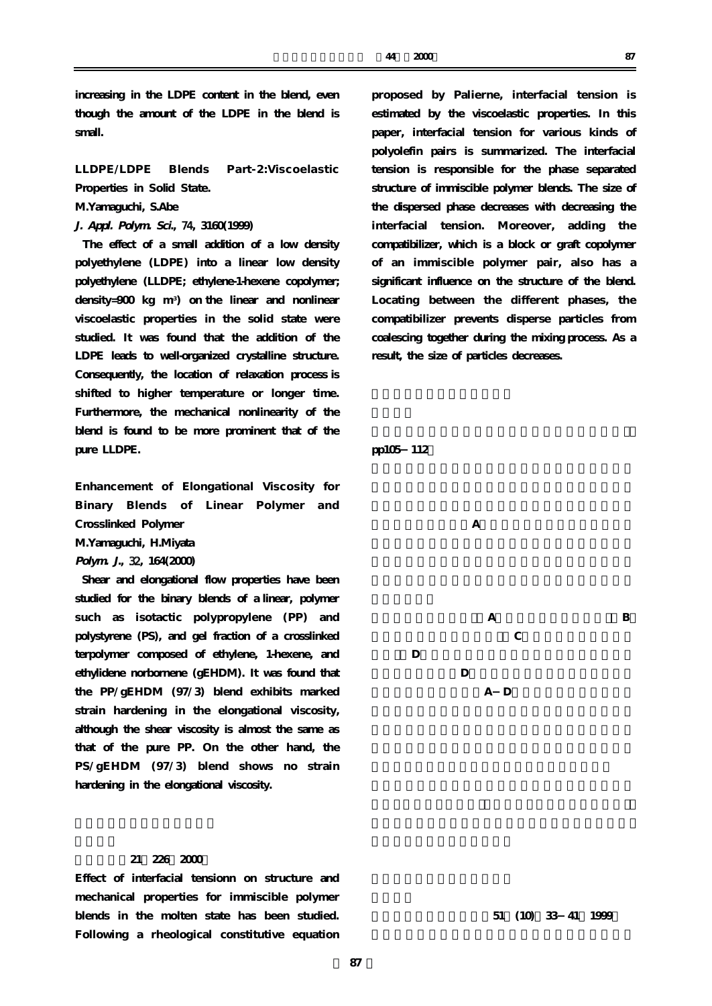**increasing in the LDPE content in the blend, even though the amount of the LDPE in the blend is small.**

**LLDPE/LDPE Blends Part-2:Viscoelastic Properties in Solid State.**

**M.Yamaguchi, S.Abe**

**J. Appl. Polym. Sci.,** 74**, 3160(1999)**

**The effect of a small addition of a low density polyethylene (LDPE) into a linear low density polyethylene (LLDPE; ethylene-1-hexene copolymer; density=900 kg m-3) on the linear and nonlinear viscoelastic properties in the solid state were studied. It was found that the addition of the LDPE leads to well-organized crystalline structure. Consequently, the location of relaxation process is shifted to higher temperature or longer time. Furthermore, the mechanical nonlinearity of the blend is found to be more prominent that of the pure LLDPE.**

**Enhancement of Elongational Viscosity for Binary Blends of Linear Polymer and Crosslinked Polymer**

**M.Yamaguchi, H.Miyata**

**Polym. J.,** 32**, 164(2000)**

**Shear and elongational flow properties have been studied for the binary blends of a linear, polymer such as isotactic polypropylene (PP) and polystyrene (PS), and gel fraction of a crosslinked terpolymer composed of ethylene, 1-hexene, and ethylidene norbornene (gEHDM). It was found that the PP/gEHDM (97/3) blend exhibits marked strain hardening in the elongational viscosity, although the shear viscosity is almost the same as that of the pure PP. On the other hand, the PS/gEHDM (97/3) blend shows no strain hardening in the elongational viscosity.**

# **表面科学,21,226(2000)**

**Effect of interfacial tensionn on structure and mechanical properties for immiscible polymer blends in the molten state has been studied. Following a rheological constitutive equation** **proposed by Palierne, interfacial tension is estimated by the viscoelastic properties. In this paper, interfacial tension for various kinds of polyolefin pairs is summarized. The interfacial tension is responsible for the phase separated structure of immiscible polymer blends. The size of the dispersed phase decreases with decreasing the interfacial tension. Moreover, adding the compatibilizer, which is a block or graft copolymer of an immiscible polymer pair, also has a significant influence on the structure of the blend. Locating between the different phases, the compatibilizer prevents disperse particles from coalescing together during the mixing process. As a result, the size of particles decreases.**

**pp105-112.**



51 (10) 33 41 1999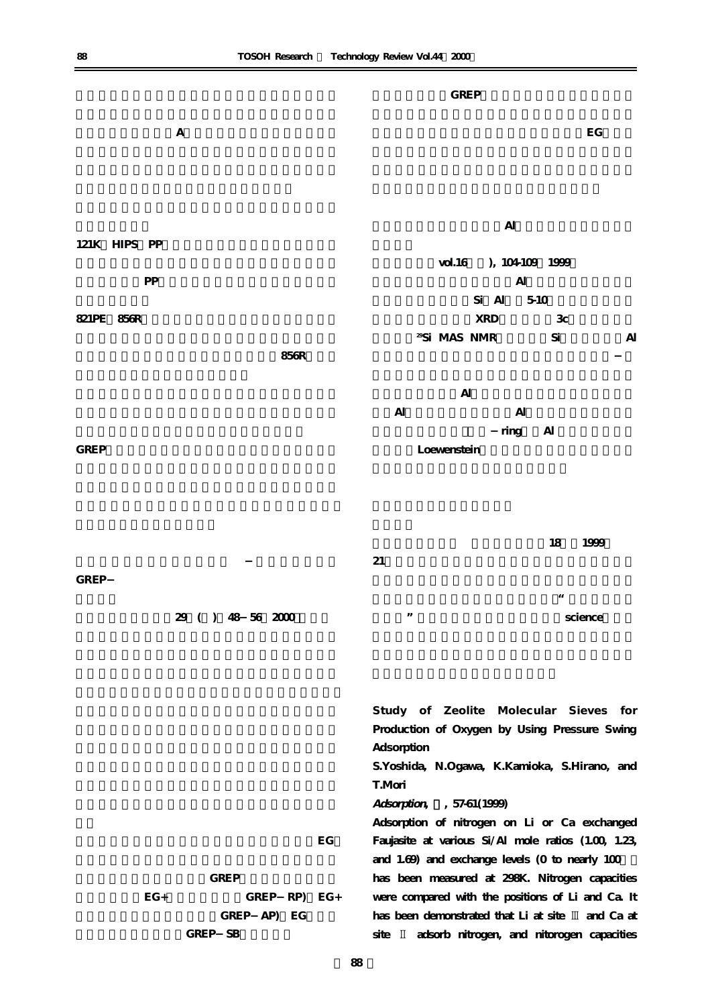|                   | <b>GREP</b>                                                |
|-------------------|------------------------------------------------------------|
| $\mathbf{A}$      | $\mathbf{E} \mathbf{G}$                                    |
|                   |                                                            |
| 121K HIPS PP      | $\mathsf{Al}\xspace$                                       |
| ${\bf PP}$        | vol. 16 ), 104109 1999<br>$\mathbf{Al}$                    |
|                   | Si Al<br>5-10                                              |
| 821PE 856R        | <b>XRD</b><br>3c                                           |
| $856R$            | <sup>29</sup> Si MAS NMR<br>$\mathrm{Si}$<br>$\mathbf{A}$  |
|                   | $\mathbf{Al}$                                              |
|                   | $\mathbf{Al}$<br>$\mathbf{Al}$                             |
|                   | ring Al                                                    |
| ${\tt GREF}$      | Loewenstein                                                |
|                   | $18\,$<br>1999<br>21                                       |
| GREP              |                                                            |
| 29 ( ) 48 56 2000 | $\epsilon\epsilon$<br>$, \,$<br>science                    |
|                   | Study of Zeolite Molecular Sieves for                      |
|                   | Production of Oxygen by Using Pressure Swing<br>Adsorption |
|                   | S.Yoshida, N.Ogawa, K.Kamioka, S.Hirano, and<br>T.Mori     |
|                   |                                                            |

**Adsorption,** 5**, 57-61(1999)**

**Adsorption of nitrogen on Li or Ca exchanged Faujasite at various Si/Al mole ratios (1.00, 1.23,** and 1.69) and exchange levels (0 to nearly 100 **has been measured at 298K. Nitrogen capacities were compared with the positions of Li and Ca. It** has been demonstrated that Li at site  $\mathbb{I}$  and Ca at **site** 2 **adsorb nitrogen, and nitorogen capacities**

**当社は(株)鈴裕化学と共同で、膨張性黒鉛(EG)**

GREP SB

**GREP** 

EG+ **GREP** RP) EG+

GREP AP) EG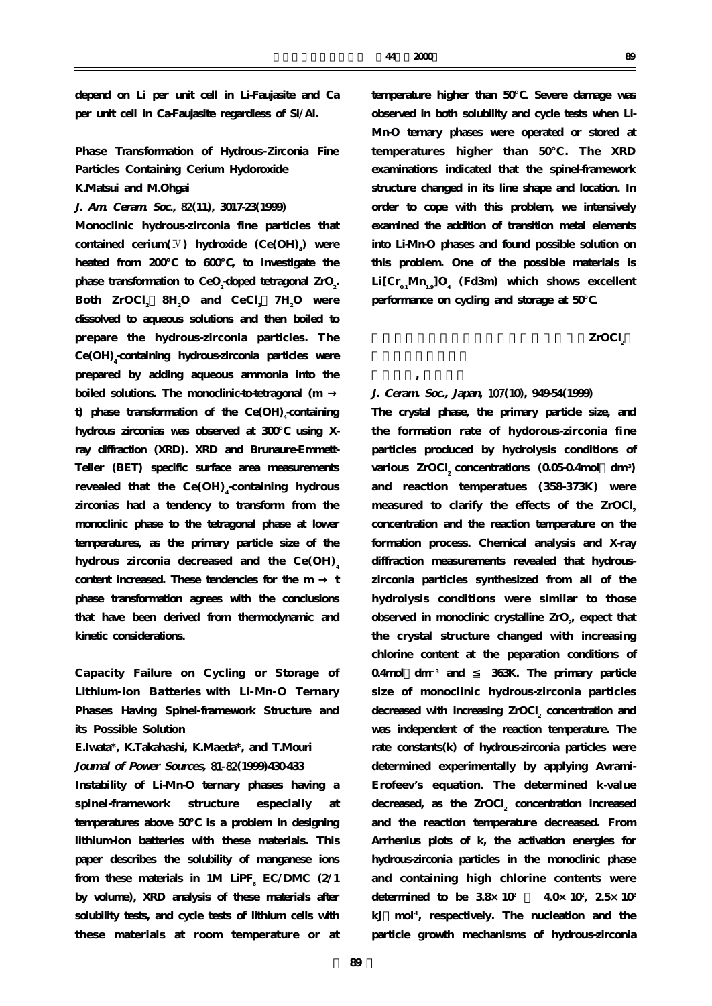**depend on Li per unit cell in Li-Faujasite and Ca per unit cell in Ca-Faujasite regardless of Si/Al.**

**Phase Transformation of Hydrous-Zirconia Fine Particles Containing Cerium Hydoroxide K.Matsui and M.Ohgai**

**J. Am. Ceram. Soc.,** 82**(11), 3017-23(1999)**

**Monoclinic hydrous-zirconia fine particles that contained cerium**( $\mathbb{N}$ ) **hydroxide** (Ce(OH)<sub>4</sub>) were **heated from 200℃ to 600℃, to investigate the** phase transformation to CeO<sub>2</sub>-doped tetragonal ZrO<sub>2</sub>. **Both ZrOCl <sup>2</sup> ・ 8H2 O and CeCl <sup>3</sup> ・ 7H2 O were dissolved to aqueous solutions and then boiled to prepare the hydrous-zirconia particles. The Ce(OH)4 -containing hydrous-zirconia particles were prepared by adding aqueous ammonia into the** boiled solutions. The monoclinic-to-tetragonal (m

**t)** phase transformation of the Ce(OH)<sub>4</sub>-containing hydrous zirconias was observed at 300 using X**ray diffraction (XRD). XRD and Brunaure-Emmett-Teller (BET) specific surface area measurements revealed that the Ce(OH) <sup>4</sup> -containing hydrous zirconias had a tendency to transform from the monoclinic phase to the tetragonal phase at lower temperatures, as the primary particle size of the hydrous zirconia decreased and the Ce(OH) <sup>4</sup>** content increased. These tendencies for the m **phase transformation agrees with the conclusions that have been derived from thermodynamic and kinetic considerations.**

**Capacity Failure on Cycling or Storage of Lithium-ion Batteries with Li-Mn-O Ternary Phases Having Spinel-framework Structure and its Possible Solution**

**E.Iwata\*, K.Takahashi, K.Maeda\*, and T.Mouri**

**Joumal of Power Sources,** 81-82**(1999)430-433**

**Instability of Li-Mn-O ternary phases having a spinel-framework structure especially at temperatures above 50℃ is a problem in designing lithium-ion batteries with these materials. This paper describes the solubility of manganese ions** from these materials in 1M LiPF<sub>6</sub>  $EC/DMC$  (2/1 **by volume), XRD analysis of these materials after solubility tests, and cycle tests of lithium cells with these materials at room temperature or at**

**temperature higher than 50℃. Severe damage was observed in both solubility and cycle tests when Li-Mn-O ternary phases were operated or stored at temperatures higher than 50℃ . The XRD examinations indicated that the spinel-framework structure changed in its line shape and location. In order to cope with this problem, we intensively examined the addition of transition metal elements into Li-Mn-O phases and found possible solution on this problem. One of the possible materials is**  $Li[Cr_{0.1}Mn_{1.1}]O_{4}$  (Fd3m) which shows excellent **performance on cycling and storage at 50℃.**

ZrOCl<sub>2</sub>

# **J. Ceram. Soc., Japan,** 107**(10), 949-54(1999)**

**大豆理治** 

**The crystal phase, the primary particle size, and the formation rate of hydorous-zirconia fine particles produced by hydrolysis conditions of** various ZrOCl<sub>2</sub> concentrations (0.05-0.4mol dm<sup>-3</sup>) **and reaction temperatues (358-373K) were** measured to clarify the effects of the ZrOCl<sub>2</sub> **concentration and the reaction temperature on the formation process. Chemical analysis and X-ray diffraction measurements revealed that hydrouszirconia particles synthesized from all of the hydrolysis conditions were similar to those** observed in monoclinic crystalline ZrO<sub>2</sub>, expect that **the crystal structure changed with increasing chlorine content at the peparation conditions of 0.4mol・dm-3 and ≦ 363K. The primary particle size of monoclinic hydrous-zirconia particles** decreased with increasing ZrOCl<sub>2</sub> concentration and **was independent of the reaction temperature. The rate constants(k) of hydrous-zirconia particles were determined experimentally by applying Avrami-Erofeev's equation. The determined k-value** decreased, as the ZrOCl<sub>2</sub> concentration increased **and the reaction temperature decreased. From Arrhenius plots of k, the activation energies for hydrous-zirconia particles in the monoclinic phase and containing high chlorine contents were** determined to be  $38 \times 10^7$ 40×10<sup>2</sup>, 2.5×10<sup>2</sup> **kJ・mol-1, respectively. The nucleation and the particle growth mechanisms of hydrous-zirconia**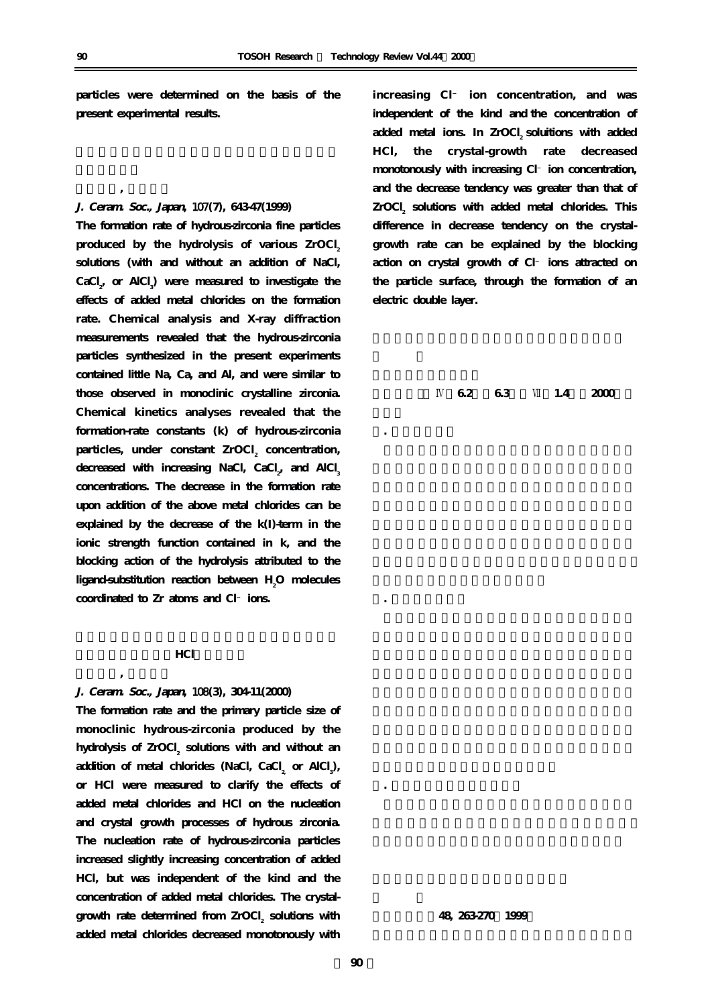**particles were determined on the basis of the present experimental results.**

# **J. Ceram. Soc., Japan,** 107**(7), 643-47(1999)**

**水** 

**The formation rate of hydrous-zirconia fine particles** produced by the hydrolysis of various ZrOCl<sub>2</sub> **solutions (with and without an addition of NaCl,**  $\text{CaCl}_{2}$  or AlCl<sub>3</sub>) were measured to investigate the **effects of added metal chlorides on the formation rate. Chemical analysis and X-ray diffraction measurements revealed that the hydrous-zirconia particles synthesized in the present experiments contained little Na, Ca, and Al, and were similar to those observed in monoclinic crystalline zirconia. Chemical kinetics analyses revealed that the formation-rate constants (k) of hydrous-zirconia** particles, under constant ZrOCl<sub>2</sub> concentration, decreased with increasing NaCl, CaCl<sub>2</sub>, and AlCl<sub>3</sub> **concentrations. The decrease in the formation rate upon addition of the above metal chlorides can be explained by the decrease of the k(I)-term in the ionic strength function contained in k, and the blocking action of the hydrolysis attributed to the ligand-substitution reaction between H2 O molecules coordinated to Zr atoms and Cl ions.**

#### **A**

# **J. Ceram. Soc., Japan,** 108**(3), 304-11(2000)**

**水** 

**The formation rate and the primary particle size of monoclinic hydrous-zirconia produced by the** hydrolysis of ZrOCl<sub>2</sub> solutions with and without an addition of metal chlorides (NaCl, CaCl<sub>2</sub> or AlCl<sub>3</sub>), **or HCl were measured to clarify the effects of added metal chlorides and HCl on the nucleation and crystal growth processes of hydrous zirconia. The nucleation rate of hydrous-zirconia particles increased slightly increasing concentration of added HCl, but was independent of the kind and the concentration of added metal chlorides. The crystal**growth rate determined from ZrOCl<sub>2</sub> solutions with **added metal chlorides decreased monotonously with**

**increasing Cl ion concentration, and was independent of the kind and the concentration of** added metal ions. In ZrOCl<sub>2</sub> soluitions with added **HCl, the crystal-growth rate decreased monotonously with increasing Cl ion concentration, and the decrease tendency was greater than that of** ZrOCl<sub>2</sub> solutions with added metal chlorides. This **difference in decrease tendency on the crystalgrowth rate can be explained by the blocking action on crystal growth of Cl ions attracted on the particle surface, through the formation of an electric double layer.**

**丸善(株)** 4**篇6.2節、6.3節、**7**篇1.4節、2000年2**

**1. クロムの腐食**

**2. ニッケルの腐食**

**材料と環境;48, 263-270(1999)**

**3. 食塩電解プラントでの腐食**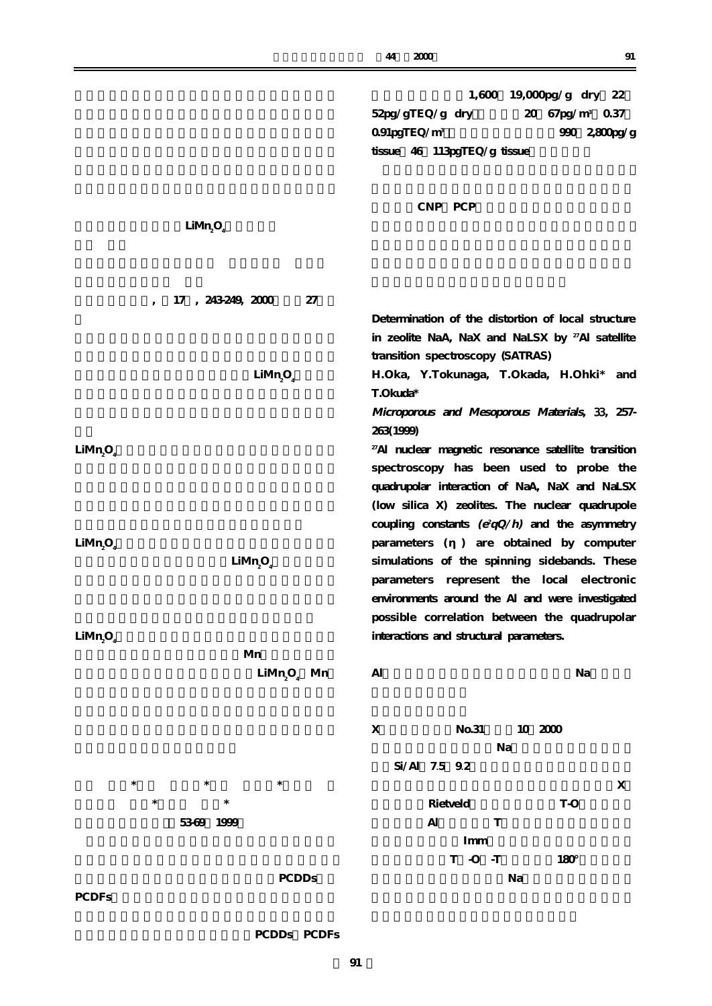|                                                                      | 1,600 19,000pg/g dry 22<br>$52\text{pg/gTEQ/g}$ dry<br>20 67pg/m <sup>3</sup> 0.37<br>091pgTEQ/m <sup>3</sup><br>990 2,800pg/g<br>tissue 46 113pgTEQ/g tissue                                                                            |
|----------------------------------------------------------------------|------------------------------------------------------------------------------------------------------------------------------------------------------------------------------------------------------------------------------------------|
| LiMn <sub>2</sub> O <sub>4</sub>                                     | CNP PCP                                                                                                                                                                                                                                  |
| 17, 243249, 2000<br>27<br>$\overline{\phantom{a}}$                   |                                                                                                                                                                                                                                          |
|                                                                      | Determination of the distortion of local structure<br>in zeolite NaA, NaX and NaLSX by <sup>27</sup> AI satellite<br>transition spectroscopy (SATRAS)                                                                                    |
| LiMn <sub>2</sub> O <sub>4</sub>                                     | H.Oka, Y.Tokunaga, T.Okada, H.Ohki*<br>and<br>T.Okuda*<br>Microporous and Mesoporous Materials, 33, 257-                                                                                                                                 |
|                                                                      | 263(1999)                                                                                                                                                                                                                                |
| LiMn <sub>2</sub> $O4$                                               | <sup>27</sup> Al nuclear magnetic resonance satellite transition<br>spectroscopy has been used to probe the<br>quadrupolar interaction of NaA, NaX and NaLSX                                                                             |
|                                                                      | (low silica X) zeolites. The nuclear quadrupole<br>coupling constants $(e^2qQ/h)$ and the asymmetry                                                                                                                                      |
| LiMn <sub>2</sub> O <sub>4</sub><br>LiMn <sub>2</sub> O <sub>4</sub> | parameters ( ) are obtained by computer<br>simulations of the spinning sidebands. These<br>parameters represent the local electronic<br>environments around the Al and were investigated<br>possible correlation between the quadrupolar |
| LiMn <sub>2</sub> O <sub>4</sub><br>Mn                               | interactions and structural parameters.                                                                                                                                                                                                  |
| $LiMn9O4$ Mn                                                         | Al<br>Na                                                                                                                                                                                                                                 |
|                                                                      | $\mathbf X$<br>No.31<br>10 2000<br>Na<br>Si/Al 7.5 92                                                                                                                                                                                    |
| $\ast$<br>$\ast$<br>$\ast$<br>$\ast$<br>$\ast$                       | X<br>Rietveld<br>T-O                                                                                                                                                                                                                     |
| 5369 1999                                                            | $\mathbf{Al}$<br>T<br>Imm                                                                                                                                                                                                                |
| <b>PCDDs</b>                                                         | $T$ -O -T<br>180°<br>Na                                                                                                                                                                                                                  |
| <b>PCDFs</b>                                                         |                                                                                                                                                                                                                                          |

**PCDDs** PCDFs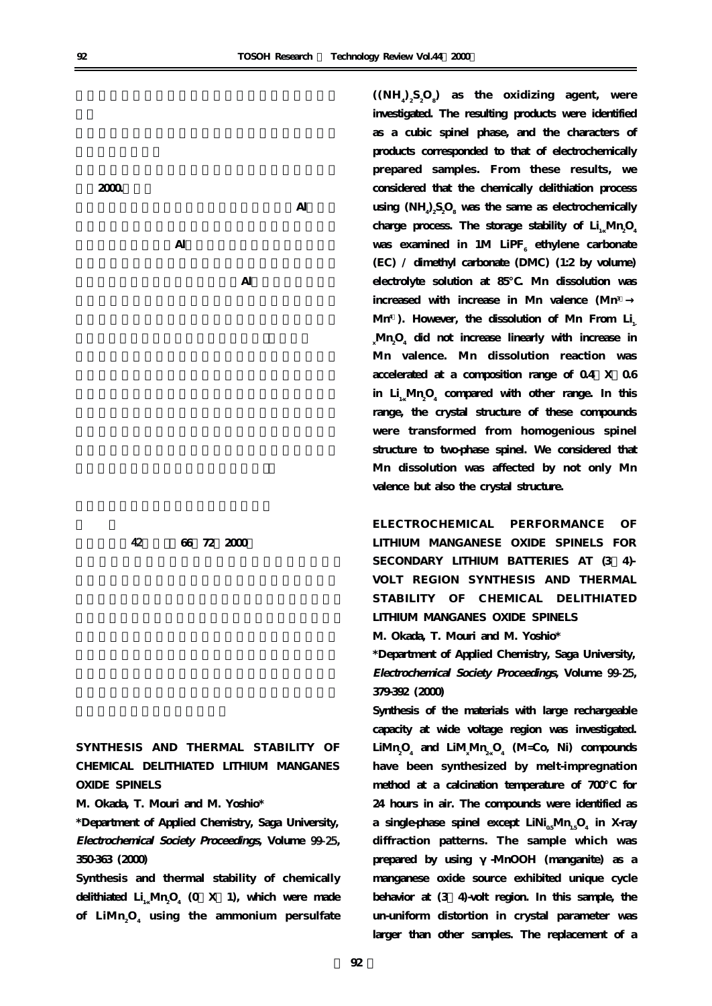**ク)2000.7刊行**

 $\mathbf{Al}$ 

**ゼオライトの微細構造:ゼオライト骨格中のAl原子位**

**いる。ゼオライトの物性、特性はAl原子位置によって**

**配管技術;**42**(5)、66ー72(2000)**

**SYNTHESIS AND THERMAL STABILITY OF CHEMICAL DELITHIATED LITHIUM MANGANES OXIDE SPINELS**

**M. Okada, T. Mouri and M. Yoshio\***

**\*Department of Applied Chemistry, Saga University, Electrochemical Society Proceedings, Volume** 99-25**, 350-363 (2000)**

**Synthesis and thermal stability of chemically delithiated Li1-xMn2 O4 (0<X<1), which were made of LiMn2 O4 using the ammonium persulfate**

 $((NH_a)_2 S_2 O_8)$  as the oxidizing agent, were **investigated. The resulting products were identified as a cubic spinel phase, and the characters of products corresponded to that of electrochemically prepared samples. From these results, we considered that the chemically delithiation process**  $\text{using (NH}_{4}\text{)}\underset{2}{\text{S}_{2}\text{O}_{8}}$  was the same as electrochemically charge process. The storage stability of  $Li_{1x}Mn_2O_4$ was examined in 1M LiPF<sub>6</sub> ethylene carbonate **(EC) / dimethyl carbonate (DMC) (1:2 by volume) electrolyte solution at 85℃. Mn dissolution was increased with increase in Mn valence (Mn3+** Mn<sup>4</sup>). However, the dissolution of Mn From Li<sub>.</sub>  $\sum_{\mathrm{x}}$ Mn<sub>2</sub>O<sub>4</sub> did not increase linearly with increase in **Mn valence. Mn dissolution reaction was** accelerated at a composition range of  $0.4$  X  $0.6$ in  $\rm Li_{1x}\rm Mn_{2}O_{4}$  compared with other range. In this **range, the crystal structure of these compounds were transformed from homogenious spinel structure to two-phase spinel. We considered that Mn dissolution was affected by not only Mn valence but also the crystal structure.**

**ELECTROCHEMICAL PERFORMANCE OF LITHIUM MANGANESE OXIDE SPINELS FOR** SECONDARY LITHIUM BATTERIES AT (3 4)-**VOLT REGION SYNTHESIS AND THERMAL STABILITY OF CHEMICAL DELITHIATED LITHIUM MANGANES OXIDE SPINELS**

**M. Okada, T. Mouri and M. Yoshio\***

**\*Department of Applied Chemistry, Saga University, Electrochemical Society Proceedings, Volume** 99-25**, 379-392 (2000)**

**Synthesis of the materials with large rechargeable capacity at wide voltage region was investigated. LiMn2 O4 and LiMx Mn2-xO4 (M=Co, Ni) compounds have been synthesized by melt-impregnation method at a calcination temperature of 700℃ for 24 hours in air. The compounds were identified as a single-phase spinel except LiNi<sub>0.</sub>Mn<sub>1</sub>.O<sub>4</sub> in X-ray diffraction patterns. The sample which was** prepared by using -MnOOH (manganite) as a **manganese oxide source exhibited unique cycle behavior at (3+4)-volt region. In this sample, the un-uniform distortion in crystal parameter was larger than other samples. The replacement of a**